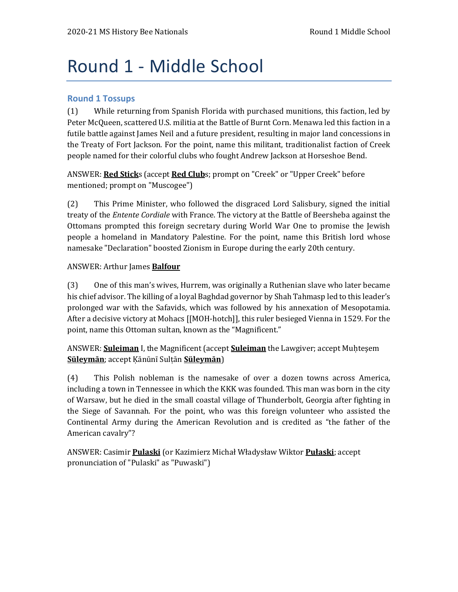# Round 1 - Middle School

#### **Round 1 Tossups**

(1) While returning from Spanish Florida with purchased munitions, this faction, led by Peter McQueen, scattered U.S. militia at the Battle of Burnt Corn. Menawa led this faction in a futile battle against James Neil and a future president, resulting in major land concessions in the Treaty of Fort Jackson. For the point, name this militant, traditionalist faction of Creek people named for their colorful clubs who fought Andrew Jackson at Horseshoe Bend.

ANSWER: **Red Stick**s (accept **Red Club**s; prompt on "Creek" or "Upper Creek" before mentioned; prompt on "Muscogee")

(2) This Prime Minister, who followed the disgraced Lord Salisbury, signed the initial treaty of the *Entente Cordiale* with France. The victory at the Battle of Beersheba against the Ottomans prompted this foreign secretary during World War One to promise the Jewish people a homeland in Mandatory Palestine. For the point, name this British lord whose namesake "Declaration" boosted Zionism in Europe during the early 20th century.

#### ANSWER: Arthur James **Balfour**

(3) One of this man's wives, Hurrem, was originally a Ruthenian slave who later became his chief advisor. The killing of a loyal Baghdad governor by Shah Tahmasp led to this leader's prolonged war with the Safavids, which was followed by his annexation of Mesopotamia. After a decisive victory at Mohacs [[MOH-hotch]], this ruler besieged Vienna in 1529. For the point, name this Ottoman sultan, known as the "Magnificent."

#### ANSWER: **Suleiman** I, the Magnificent (accept **Suleiman** the Lawgiver; accept Muḥteşem **Süleymān**; accept Ḳānūnī Sulṭān **Süleymān**)

(4) This Polish nobleman is the namesake of over a dozen towns across America, including a town in Tennessee in which the KKK was founded. This man was born in the city of Warsaw, but he died in the small coastal village of Thunderbolt, Georgia after fighting in the Siege of Savannah. For the point, who was this foreign volunteer who assisted the Continental Army during the American Revolution and is credited as "the father of the American cavalry"?

ANSWER: Casimir **Pulaski** (or Kazimierz Michał Władysław Wiktor **Pułaski**; accept pronunciation of "Pulaski" as "Puwaski")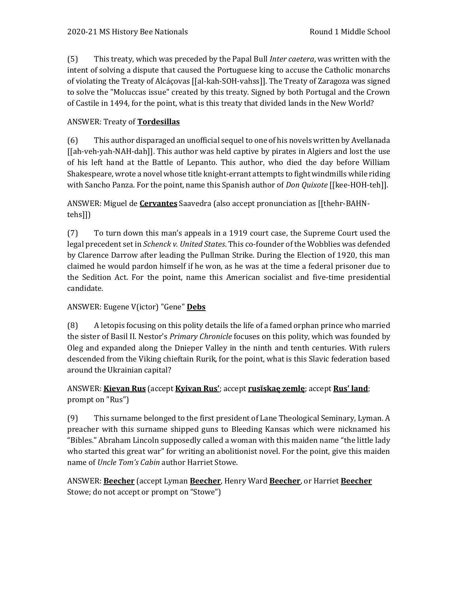(5) This treaty, which was preceded by the Papal Bull *Inter caetera*, was written with the intent of solving a dispute that caused the Portuguese king to accuse the Catholic monarchs of violating the Treaty of Alcáçovas [[al-kah-SOH-vahss]]. The Treaty of Zaragoza was signed to solve the "Moluccas issue" created by this treaty. Signed by both Portugal and the Crown of Castile in 1494, for the point, what is this treaty that divided lands in the New World?

## ANSWER: Treaty of **Tordesillas**

(6) This author disparaged an unofficial sequel to one of his novels written by Avellanada [[ah-veh-yah-NAH-dah]]. This author was held captive by pirates in Algiers and lost the use of his left hand at the Battle of Lepanto. This author, who died the day before William Shakespeare, wrote a novel whose title knight-errant attempts to fight windmills while riding with Sancho Panza. For the point, name this Spanish author of *Don Quixote* [[kee-HOH-teh]].

ANSWER: Miguel de **Cervantes** Saavedra (also accept pronunciation as [[thehr-BAHNtehs]])

(7) To turn down this man's appeals in a 1919 court case, the Supreme Court used the legal precedent set in *Schenck v. United States*. This co-founder of the Wobblies was defended by Clarence Darrow after leading the Pullman Strike. During the Election of 1920, this man claimed he would pardon himself if he won, as he was at the time a federal prisoner due to the Sedition Act. For the point, name this American socialist and five-time presidential candidate.

#### ANSWER: Eugene V(ictor) "Gene" **Debs**

(8) A letopis focusing on this polity details the life of a famed orphan prince who married the sister of Basil II. Nestor's *Primary Chronicle* focuses on this polity, which was founded by Oleg and expanded along the Dnieper Valley in the ninth and tenth centuries. With rulers descended from the Viking chieftain Rurik, for the point, what is this Slavic federation based around the Ukrainian capital?

# ANSWER: **Kievan Rus** (accept **Kyivan Rus'**; accept **rusĭskaę zemlę**; accept **Rus' land**; prompt on "Rus")

(9) This surname belonged to the first president of Lane Theological Seminary, Lyman. A preacher with this surname shipped guns to Bleeding Kansas which were nicknamed his "Bibles." Abraham Lincoln supposedly called a woman with this maiden name "the little lady who started this great war" for writing an abolitionist novel. For the point, give this maiden name of *Uncle Tom's Cabin* author Harriet Stowe.

ANSWER: **Beecher** (accept Lyman **Beecher**, Henry Ward **Beecher**, or Harriet **Beecher** Stowe; do not accept or prompt on "Stowe")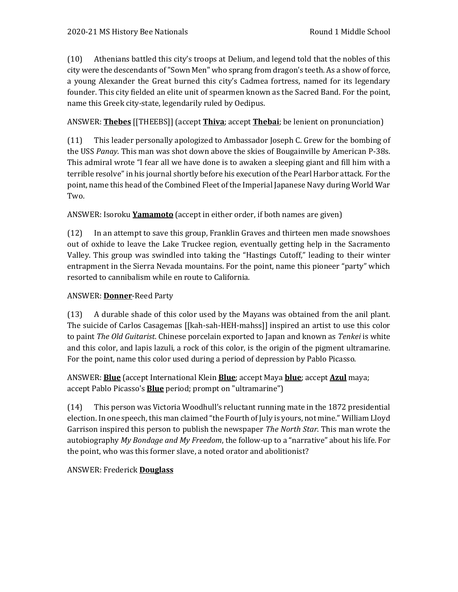(10) Athenians battled this city's troops at Delium, and legend told that the nobles of this city were the descendants of "Sown Men" who sprang from dragon's teeth. As a show of force, a young Alexander the Great burned this city's Cadmea fortress, named for its legendary founder. This city fielded an elite unit of spearmen known as the Sacred Band. For the point, name this Greek city-state, legendarily ruled by Oedipus.

## ANSWER: **Thebes** [[THEEBS]] (accept **Thiva**; accept **Thebai**; be lenient on pronunciation)

(11) This leader personally apologized to Ambassador Joseph C. Grew for the bombing of the USS *Panay*. This man was shot down above the skies of Bougainville by American P-38s. This admiral wrote "I fear all we have done is to awaken a sleeping giant and fill him with a terrible resolve" in his journal shortly before his execution of the Pearl Harbor attack. For the point, name this head of the Combined Fleet of the Imperial Japanese Navy during World War Two.

#### ANSWER: Isoroku **Yamamoto** (accept in either order, if both names are given)

(12) In an attempt to save this group, Franklin Graves and thirteen men made snowshoes out of oxhide to leave the Lake Truckee region, eventually getting help in the Sacramento Valley. This group was swindled into taking the "Hastings Cutoff," leading to their winter entrapment in the Sierra Nevada mountains. For the point, name this pioneer "party" which resorted to cannibalism while en route to California.

#### ANSWER: **Donner**-Reed Party

(13) A durable shade of this color used by the Mayans was obtained from the anil plant. The suicide of Carlos Casagemas [[kah-sah-HEH-mahss]] inspired an artist to use this color to paint *The Old Guitarist*. Chinese porcelain exported to Japan and known as *Tenkei* is white and this color, and lapis lazuli, a rock of this color, is the origin of the pigment ultramarine. For the point, name this color used during a period of depression by Pablo Picasso.

# ANSWER: **Blue** (accept International Klein **Blue**; accept Maya **blue**; accept **Azul** maya; accept Pablo Picasso's **Blue** period; prompt on "ultramarine")

(14) This person was Victoria Woodhull's reluctant running mate in the 1872 presidential election. In one speech, this man claimed "the Fourth of July is yours, not mine." William Lloyd Garrison inspired this person to publish the newspaper *The North Star*. This man wrote the autobiography *My Bondage and My Freedom*, the follow-up to a "narrative" about his life. For the point, who was this former slave, a noted orator and abolitionist?

#### ANSWER: Frederick **Douglass**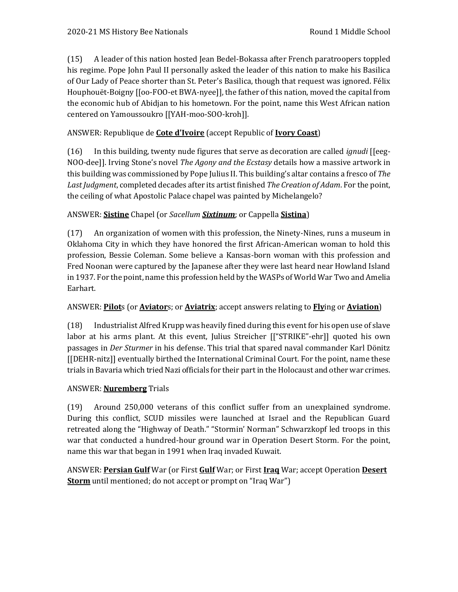(15) A leader of this nation hosted Jean Bedel-Bokassa after French paratroopers toppled his regime. Pope John Paul II personally asked the leader of this nation to make his Basilica of Our Lady of Peace shorter than St. Peter's Basilica, though that request was ignored. Félix Houphouët-Boigny [[oo-FOO-et BWA-nyee]], the father of this nation, moved the capital from the economic hub of Abidjan to his hometown. For the point, name this West African nation centered on Yamoussoukro [[YAH-moo-SOO-kroh]].

## ANSWER: Republique de **Cote d'Ivoire** (accept Republic of **Ivory Coast**)

(16) In this building, twenty nude figures that serve as decoration are called *ignudi* [[eeg-NOO-dee]]. Irving Stone's novel *The Agony and the Ecstasy* details how a massive artwork in this building was commissioned by Pope Julius II. This building's altar contains a fresco of *The Last Judgment*, completed decades after its artist finished *The Creation of Adam*. For the point, the ceiling of what Apostolic Palace chapel was painted by Michelangelo?

## ANSWER: **Sistine** Chapel (or *Sacellum Sixtinum*; or Cappella **Sistina**)

(17) An organization of women with this profession, the Ninety-Nines, runs a museum in Oklahoma City in which they have honored the first African-American woman to hold this profession, Bessie Coleman. Some believe a Kansas-born woman with this profession and Fred Noonan were captured by the Japanese after they were last heard near Howland Island in 1937. For the point, name this profession held by the WASPs of World War Two and Amelia Earhart.

#### ANSWER: **Pilot**s (or **Aviator**s; or **Aviatrix**; accept answers relating to **Fly**ing or **Aviation**)

(18) Industrialist Alfred Krupp was heavily fined during this event for his open use of slave labor at his arms plant. At this event, Julius Streicher [["STRIKE"-ehr]] quoted his own passages in *Der Sturmer* in his defense. This trial that spared naval commander Karl Dönitz [[DEHR-nitz]] eventually birthed the International Criminal Court. For the point, name these trials in Bavaria which tried Nazi officials for their part in the Holocaust and other war crimes.

#### ANSWER: **Nuremberg** Trials

(19) Around 250,000 veterans of this conflict suffer from an unexplained syndrome. During this conflict, SCUD missiles were launched at Israel and the Republican Guard retreated along the "Highway of Death." "Stormin' Norman" Schwarzkopf led troops in this war that conducted a hundred-hour ground war in Operation Desert Storm. For the point, name this war that began in 1991 when Iraq invaded Kuwait.

ANSWER: **Persian Gulf** War (or First **Gulf** War; or First **Iraq** War; accept Operation **Desert Storm** until mentioned; do not accept or prompt on "Iraq War")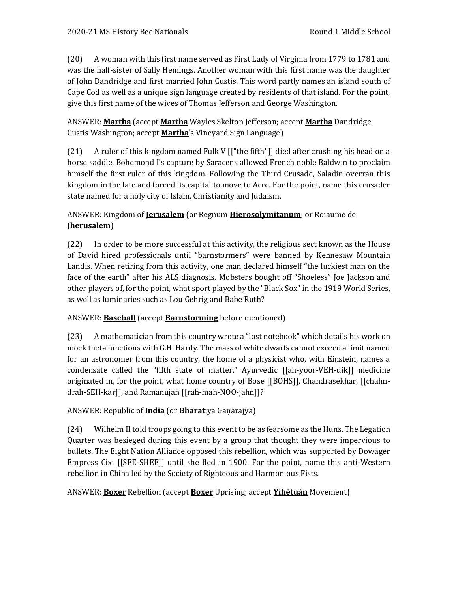(20) A woman with this first name served as First Lady of Virginia from 1779 to 1781 and was the half-sister of Sally Hemings. Another woman with this first name was the daughter of John Dandridge and first married John Custis. This word partly names an island south of Cape Cod as well as a unique sign language created by residents of that island. For the point, give this first name of the wives of Thomas Jefferson and George Washington.

ANSWER: **Martha** (accept **Martha** Wayles Skelton Jefferson; accept **Martha** Dandridge Custis Washington; accept **Martha**'s Vineyard Sign Language)

(21) A ruler of this kingdom named Fulk V [["the fifth"]] died after crushing his head on a horse saddle. Bohemond I's capture by Saracens allowed French noble Baldwin to proclaim himself the first ruler of this kingdom. Following the Third Crusade, Saladin overran this kingdom in the late and forced its capital to move to Acre. For the point, name this crusader state named for a holy city of Islam, Christianity and Judaism.

# ANSWER: Kingdom of **Jerusalem** (or Regnum **Hierosolymitanum**; or Roiaume de **Jherusalem**)

(22) In order to be more successful at this activity, the religious sect known as the House of David hired professionals until "barnstormers" were banned by Kennesaw Mountain Landis. When retiring from this activity, one man declared himself "the luckiest man on the face of the earth" after his ALS diagnosis. Mobsters bought off "Shoeless" Joe Jackson and other players of, for the point, what sport played by the "Black Sox" in the 1919 World Series, as well as luminaries such as Lou Gehrig and Babe Ruth?

# ANSWER: **Baseball** (accept **Barnstorming** before mentioned)

(23) A mathematician from this country wrote a "lost notebook" which details his work on mock theta functions with G.H. Hardy. The mass of white dwarfs cannot exceed a limit named for an astronomer from this country, the home of a physicist who, with Einstein, names a condensate called the "fifth state of matter." Ayurvedic [[ah-yoor-VEH-dik]] medicine originated in, for the point, what home country of Bose [[BOHS]], Chandrasekhar, [[chahndrah-SEH-kar]], and Ramanujan [[rah-mah-NOO-jahn]]?

# ANSWER: Republic of **India** (or **Bhārat**iya Gaṇarājya)

(24) Wilhelm II told troops going to this event to be as fearsome as the Huns. The Legation Quarter was besieged during this event by a group that thought they were impervious to bullets. The Eight Nation Alliance opposed this rebellion, which was supported by Dowager Empress Cixi [[SEE-SHEE]] until she fled in 1900. For the point, name this anti-Western rebellion in China led by the Society of Righteous and Harmonious Fists.

# ANSWER: **Boxer** Rebellion (accept **Boxer** Uprising; accept **Yìhétuán** Movement)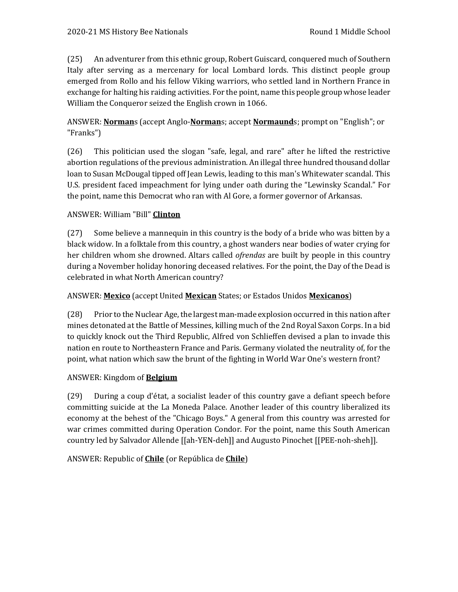(25) An adventurer from this ethnic group, Robert Guiscard, conquered much of Southern Italy after serving as a mercenary for local Lombard lords. This distinct people group emerged from Rollo and his fellow Viking warriors, who settled land in Northern France in exchange for halting his raiding activities. For the point, name this people group whose leader William the Conqueror seized the English crown in 1066.

# ANSWER: **Norman**s (accept Anglo-**Norman**s; accept **Normaund**s; prompt on "English"; or "Franks")

(26) This politician used the slogan "safe, legal, and rare" after he lifted the restrictive abortion regulations of the previous administration. An illegal three hundred thousand dollar loan to Susan McDougal tipped off Jean Lewis, leading to this man's Whitewater scandal. This U.S. president faced impeachment for lying under oath during the "Lewinsky Scandal." For the point, name this Democrat who ran with Al Gore, a former governor of Arkansas.

## ANSWER: William "Bill" **Clinton**

(27) Some believe a mannequin in this country is the body of a bride who was bitten by a black widow. In a folktale from this country, a ghost wanders near bodies of water crying for her children whom she drowned. Altars called *ofrendas* are built by people in this country during a November holiday honoring deceased relatives. For the point, the Day of the Dead is celebrated in what North American country?

#### ANSWER: **Mexico** (accept United **Mexican** States; or Estados Unidos **Mexicanos**)

(28) Prior to the Nuclear Age, the largest man-made explosion occurred in this nation after mines detonated at the Battle of Messines, killing much of the 2nd Royal Saxon Corps. In a bid to quickly knock out the Third Republic, Alfred von Schlieffen devised a plan to invade this nation en route to Northeastern France and Paris. Germany violated the neutrality of, for the point, what nation which saw the brunt of the fighting in World War One's western front?

#### ANSWER: Kingdom of **Belgium**

(29) During a coup d'état, a socialist leader of this country gave a defiant speech before committing suicide at the La Moneda Palace. Another leader of this country liberalized its economy at the behest of the "Chicago Boys." A general from this country was arrested for war crimes committed during Operation Condor. For the point, name this South American country led by Salvador Allende [[ah-YEN-deh]] and Augusto Pinochet [[PEE-noh-sheh]].

# ANSWER: Republic of **Chile** (or República de **Chile**)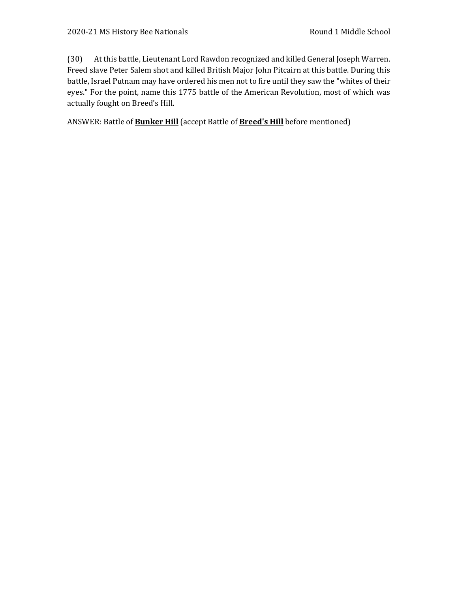(30) At this battle, Lieutenant Lord Rawdon recognized and killed General Joseph Warren. Freed slave Peter Salem shot and killed British Major John Pitcairn at this battle. During this battle, Israel Putnam may have ordered his men not to fire until they saw the "whites of their eyes." For the point, name this 1775 battle of the American Revolution, most of which was actually fought on Breed's Hill.

ANSWER: Battle of **Bunker Hill** (accept Battle of **Breed's Hill** before mentioned)